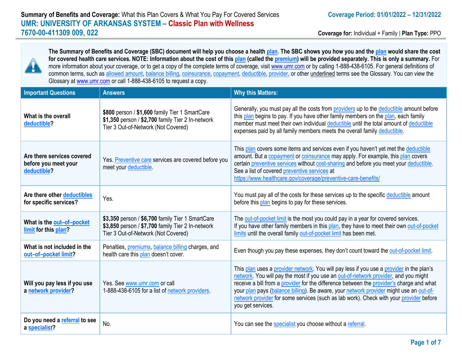

**The Summary of Benefits and Coverage (SBC) document will help you choose a health plan. The SBC shows you how you and the plan would share the cost for covered health care services. NOTE: Information about the cost of this plan (called the premium) will be provided separately. This is only a summary.** For more information about your coverage, or to get a copy of the complete terms of coverage, visit [www.umr.com](http://www.umr.com/) or by calling 1-888-438-6105. For general definitions of common terms, such as allowed amount, balance billing, coinsurance, copayment, deductible, provider, or other underlined terms see the Glossary. You can view the Glossary a[t www.umr.com](http://www.umr.com/) or call 1-888-438-6105 to request a copy.

| <b>Important Questions</b>                                        | <b>Answers</b>                                                                                                                               | <b>Why this Matters:</b>                                                                                                                                                                                                                                                                                                                                                                                                                                                             |
|-------------------------------------------------------------------|----------------------------------------------------------------------------------------------------------------------------------------------|--------------------------------------------------------------------------------------------------------------------------------------------------------------------------------------------------------------------------------------------------------------------------------------------------------------------------------------------------------------------------------------------------------------------------------------------------------------------------------------|
| What is the overall<br>deductible?                                | \$800 person / \$1,600 family Tier 1 SmartCare<br>\$1,350 person / \$2,700 family Tier 2 In-network<br>Tier 3 Out-of-Network (Not Covered)   | Generally, you must pay all the costs from providers up to the deductible amount before<br>this plan begins to pay. If you have other family members on the plan, each family<br>member must meet their own individual deductible until the total amount of deductible<br>expenses paid by all family members meets the overall family deductible.                                                                                                                                   |
| Are there services covered<br>before you meet your<br>deductible? | Yes. Preventive care services are covered before you<br>meet your deductible.                                                                | This plan covers some items and services even if you haven't yet met the deductible<br>amount. But a copayment or coinsurance may apply. For example, this plan covers<br>certain preventive services without cost-sharing and before you meet your deductible.<br>See a list of covered preventive services at<br>https://www.healthcare.gov/coverage/preventive-care-benefits/                                                                                                     |
| Are there other deductibles<br>for specific services?             | Yes.                                                                                                                                         | You must pay all of the costs for these services up to the specific deductible amount<br>before this plan begins to pay for these services.                                                                                                                                                                                                                                                                                                                                          |
| What is the out-of-pocket<br>limit for this plan?                 | \$3,350 person / \$6,700 family Tier 1 SmartCare<br>\$3,850 person / \$7,700 family Tier 2 In-network<br>Tier 3 Out-of-Network (Not Covered) | The out-of-pocket limit is the most you could pay in a year for covered services.<br>If you have other family members in this plan, they have to meet their own out-of-pocket<br>limits until the overall family out-of-pocket limit has been met.                                                                                                                                                                                                                                   |
| What is not included in the<br>out-of-pocket limit?               | Penalties, premiums, balance billing charges, and<br>health care this plan doesn't cover.                                                    | Even though you pay these expenses, they don't count toward the out-of-pocket limit.                                                                                                                                                                                                                                                                                                                                                                                                 |
| Will you pay less if you use<br>a network provider?               | Yes. See www.umr.com or call<br>1-888-438-6105 for a list of network providers.                                                              | This plan uses a provider network. You will pay less if you use a provider in the plan's<br>network. You will pay the most if you use an out-of-network provider, and you might<br>receive a bill from a provider for the difference between the provider's charge and what<br>your plan pays (balance billing). Be aware, your network provider might use an out-of-<br>network provider for some services (such as lab work). Check with your provider before<br>you get services. |
| Do you need a referral to see<br>a specialist?                    | No.                                                                                                                                          | You can see the specialist you choose without a referral.                                                                                                                                                                                                                                                                                                                                                                                                                            |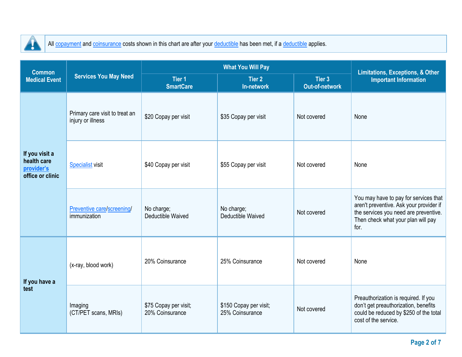

 $\overline{\phantom{a}}$ 

All copayment and coinsurance costs shown in this chart are after your deductible has been met, if a deductible applies.

| <b>Common</b>                                                   |                                                     |                                          | <b>Limitations, Exceptions, &amp; Other</b> |                                 |                                                                                                                                                                         |
|-----------------------------------------------------------------|-----------------------------------------------------|------------------------------------------|---------------------------------------------|---------------------------------|-------------------------------------------------------------------------------------------------------------------------------------------------------------------------|
| <b>Medical Event</b>                                            | <b>Services You May Need</b>                        | <b>Tier 1</b><br><b>SmartCare</b>        | <b>Tier 2</b><br>In-network                 | Tier 3<br><b>Out-of-network</b> | <b>Important Information</b>                                                                                                                                            |
| If you visit a<br>health care<br>provider's<br>office or clinic | Primary care visit to treat an<br>injury or illness | \$20 Copay per visit                     | \$35 Copay per visit                        | Not covered                     | None                                                                                                                                                                    |
|                                                                 | <b>Specialist visit</b>                             | \$40 Copay per visit                     | \$55 Copay per visit                        | Not covered                     | None                                                                                                                                                                    |
|                                                                 | Preventive care/screening/<br>immunization          | No charge;<br><b>Deductible Waived</b>   | No charge;<br>Deductible Waived             | Not covered                     | You may have to pay for services that<br>aren't preventive. Ask your provider if<br>the services you need are preventive.<br>Then check what your plan will pay<br>for. |
| If you have a<br>test                                           | (x-ray, blood work)                                 | 20% Coinsurance                          | 25% Coinsurance                             | Not covered                     | None                                                                                                                                                                    |
|                                                                 | Imaging<br>(CT/PET scans, MRIs)                     | \$75 Copay per visit;<br>20% Coinsurance | \$150 Copay per visit;<br>25% Coinsurance   | Not covered                     | Preauthorization is required. If you<br>don't get preauthorization, benefits<br>could be reduced by \$250 of the total<br>cost of the service.                          |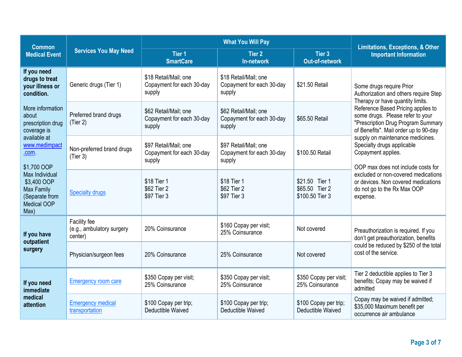| <b>Common</b>                                                                                                                                                                                                               |                                                      |                                                              | <b>Limitations, Exceptions, &amp; Other</b>                  |                                                     |                                                                                                                                                       |  |
|-----------------------------------------------------------------------------------------------------------------------------------------------------------------------------------------------------------------------------|------------------------------------------------------|--------------------------------------------------------------|--------------------------------------------------------------|-----------------------------------------------------|-------------------------------------------------------------------------------------------------------------------------------------------------------|--|
| <b>Medical Event</b>                                                                                                                                                                                                        | <b>Services You May Need</b>                         | Tier <sub>1</sub><br><b>SmartCare</b>                        | <b>Tier 2</b><br>In-network                                  | Tier 3<br><b>Out-of-network</b>                     | <b>Important Information</b>                                                                                                                          |  |
| If you need<br>drugs to treat<br>your illness or<br>condition.                                                                                                                                                              | Generic drugs (Tier 1)                               | \$18 Retail/Mail; one<br>Copayment for each 30-day<br>supply | \$18 Retail/Mail; one<br>Copayment for each 30-day<br>supply | \$21.50 Retail                                      | Some drugs require Prior<br>Authorization and others require Step<br>Therapy or have quantity limits.                                                 |  |
| More information<br>about<br>prescription drug<br>coverage is<br>available at<br>www.medimpact<br>.com<br>\$1,700 OOP<br>Max Individual<br>\$3,400 OOP<br><b>Max Family</b><br>(Separate from<br><b>Medical OOP</b><br>Max) | Preferred brand drugs<br>(Tier 2)                    | \$62 Retail/Mail; one<br>Copayment for each 30-day<br>supply | \$62 Retail/Mail; one<br>Copayment for each 30-day<br>supply | \$65.50 Retail                                      | Reference Based Pricing applies to<br>some drugs. Please refer to your<br>"Prescription Drug Program Summary<br>of Benefits". Mail order up to 90-day |  |
|                                                                                                                                                                                                                             | Non-preferred brand drugs<br>(Tier 3)                | \$97 Retail/Mail; one<br>Copayment for each 30-day<br>supply | \$97 Retail/Mail; one<br>Copayment for each 30-day<br>supply | \$100.50 Retail                                     | supply on maintenance medicines.<br>Specialty drugs applicable<br>Copayment applies.<br>OOP max does not include costs for                            |  |
|                                                                                                                                                                                                                             | <b>Specialty drugs</b>                               | \$18 Tier 1<br>\$62 Tier 2<br>\$97 Tier 3                    | \$18 Tier 1<br>\$62 Tier 2<br>\$97 Tier 3                    | \$21.50 Tier 1<br>\$65.50 Tier 2<br>\$100.50 Tier 3 | excluded or non-covered medications<br>or devices. Non covered medications<br>do not go to the Rx Max OOP<br>expense.                                 |  |
| If you have<br>outpatient<br>surgery                                                                                                                                                                                        | Facility fee<br>(e.g., ambulatory surgery<br>center) | 20% Coinsurance                                              | \$160 Copay per visit;<br>25% Coinsurance                    | Not covered                                         | Preauthorization is required. If you<br>don't get preauthorization, benefits<br>could be reduced by \$250 of the total<br>cost of the service.        |  |
|                                                                                                                                                                                                                             | Physician/surgeon fees                               | 20% Coinsurance                                              | 25% Coinsurance                                              | Not covered                                         |                                                                                                                                                       |  |
| If you need<br>immediate<br>medical<br>attention                                                                                                                                                                            | <b>Emergency room care</b>                           | \$350 Copay per visit;<br>25% Coinsurance                    | \$350 Copay per visit;<br>25% Coinsurance                    | \$350 Copay per visit;<br>25% Coinsurance           | Tier 2 deductible applies to Tier 3<br>benefits; Copay may be waived if<br>admitted                                                                   |  |
|                                                                                                                                                                                                                             | <b>Emergency medical</b><br>transportation           | \$100 Copay per trip;<br>Deductible Waived                   | \$100 Copay per trip;<br>Deductible Waived                   | \$100 Copay per trip;<br>Deductible Waived          | Copay may be waived if admitted;<br>\$35,000 Maximum benefit per<br>occurrence air ambulance                                                          |  |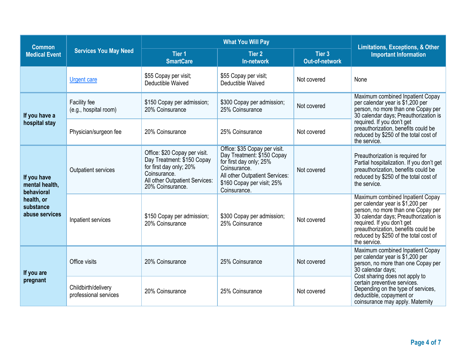| <b>Common</b>                                                                            |                                              |                                                                                                                                                              | <b>Limitations, Exceptions, &amp; Other</b>                                                                                                                                            |                                 |                                                                                                                                                                                                                                                                                   |  |
|------------------------------------------------------------------------------------------|----------------------------------------------|--------------------------------------------------------------------------------------------------------------------------------------------------------------|----------------------------------------------------------------------------------------------------------------------------------------------------------------------------------------|---------------------------------|-----------------------------------------------------------------------------------------------------------------------------------------------------------------------------------------------------------------------------------------------------------------------------------|--|
| <b>Medical Event</b>                                                                     | <b>Services You May Need</b>                 | Tier <sub>1</sub><br><b>SmartCare</b>                                                                                                                        | Tier 2<br>In-network                                                                                                                                                                   | Tier 3<br><b>Out-of-network</b> | <b>Important Information</b>                                                                                                                                                                                                                                                      |  |
|                                                                                          | <b>Urgent care</b>                           | \$55 Copay per visit;<br>Deductible Waived                                                                                                                   | \$55 Copay per visit;<br>Deductible Waived                                                                                                                                             | Not covered                     | None                                                                                                                                                                                                                                                                              |  |
| If you have a                                                                            | Facility fee<br>(e.g., hospital room)        | \$150 Copay per admission;<br>20% Coinsurance                                                                                                                | \$300 Copay per admission;<br>25% Coinsurance                                                                                                                                          | Not covered                     | Maximum combined Inpatient Copay<br>per calendar year is \$1,200 per<br>person, no more than one Copay per<br>30 calendar days; Preauthorization is                                                                                                                               |  |
| hospital stay                                                                            | Physician/surgeon fee                        | 20% Coinsurance                                                                                                                                              | 25% Coinsurance                                                                                                                                                                        | Not covered                     | required. If you don't get<br>preauthorization, benefits could be<br>reduced by \$250 of the total cost of<br>the service.                                                                                                                                                        |  |
| If you have<br>mental health,<br>behavioral<br>health, or<br>substance<br>abuse services | Outpatient services                          | Office: \$20 Copay per visit.<br>Day Treatment: \$150 Copay<br>for first day only; 20%<br>Coinsurance.<br>All other Outpatient Services:<br>20% Coinsurance. | Office: \$35 Copay per visit.<br>Day Treatment: \$150 Copay<br>for first day only; 25%<br>Coinsurance.<br>All other Outpatient Services:<br>\$160 Copay per visit; 25%<br>Coinsurance. | Not covered                     | Preauthorization is required for<br>Partial hospitalization. If you don't get<br>preauthorization, benefits could be<br>reduced by \$250 of the total cost of<br>the service.                                                                                                     |  |
|                                                                                          | Inpatient services                           | \$150 Copay per admission;<br>20% Coinsurance                                                                                                                | \$300 Copay per admission;<br>25% Coinsurance                                                                                                                                          | Not covered                     | Maximum combined Inpatient Copay<br>per calendar year is \$1,200 per<br>person, no more than one Copay per<br>30 calendar days; Preauthorization is<br>required. If you don't get<br>preauthorization, benefits could be<br>reduced by \$250 of the total cost of<br>the service. |  |
| If you are<br>pregnant                                                                   | Office visits                                | 20% Coinsurance                                                                                                                                              | 25% Coinsurance                                                                                                                                                                        | Not covered                     | Maximum combined Inpatient Copay<br>per calendar year is \$1,200 per<br>person, no more than one Copay per<br>30 calendar days;                                                                                                                                                   |  |
|                                                                                          | Childbirth/delivery<br>professional services | 20% Coinsurance                                                                                                                                              | 25% Coinsurance                                                                                                                                                                        | Not covered                     | Cost sharing does not apply to<br>certain preventive services.<br>Depending on the type of services,<br>deductible, copayment or<br>coinsurance may apply. Maternity                                                                                                              |  |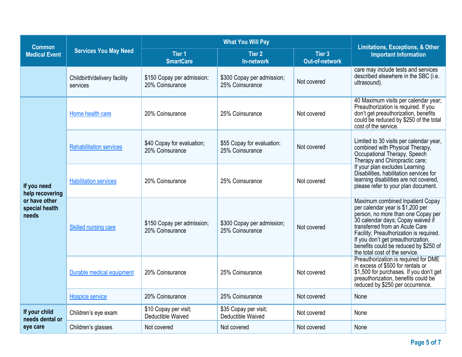| <b>Common</b>                                                              |                                          |                                               | <b>Limitations, Exceptions, &amp; Other</b>   |                                 |                                                                                                                                                                                                                                                                                                                                               |  |
|----------------------------------------------------------------------------|------------------------------------------|-----------------------------------------------|-----------------------------------------------|---------------------------------|-----------------------------------------------------------------------------------------------------------------------------------------------------------------------------------------------------------------------------------------------------------------------------------------------------------------------------------------------|--|
| <b>Medical Event</b>                                                       | <b>Services You May Need</b>             | Tier <sub>1</sub><br><b>SmartCare</b>         | Tier 2<br>In-network                          | Tier 3<br><b>Out-of-network</b> | <b>Important Information</b>                                                                                                                                                                                                                                                                                                                  |  |
|                                                                            | Childbirth/delivery facility<br>services | \$150 Copay per admission;<br>20% Coinsurance | \$300 Copay per admission;<br>25% Coinsurance | Not covered                     | care may include tests and services<br>described elsewhere in the SBC (i.e.<br>ultrasound).                                                                                                                                                                                                                                                   |  |
| If you need<br>help recovering<br>or have other<br>special health<br>needs | Home health care                         | 20% Coinsurance                               | 25% Coinsurance                               | Not covered                     | 40 Maximum visits per calendar year;<br>Preauthorization is required. If you<br>don't get preauthorization, benefits<br>could be reduced by \$250 of the total<br>cost of the service.                                                                                                                                                        |  |
|                                                                            | <b>Rehabilitation services</b>           | \$40 Copay for evaluation;<br>20% Coinsurance | \$55 Copay for evaluation:<br>25% Coinsurance | Not covered                     | Limited to 30 visits per calendar year,<br>combined with Physical Therapy,<br>Occupational Therapy, Speech<br>Therapy and Chiropractic care;                                                                                                                                                                                                  |  |
|                                                                            | <b>Habilitation services</b>             | 20% Coinsurance                               | 25% Coinsurance                               | Not covered                     | If your plan excludes Learning<br>Disabilities, habilitation services for<br>learning disabilities are not covered,<br>please refer to your plan document.                                                                                                                                                                                    |  |
|                                                                            | Skilled nursing care                     | \$150 Copay per admission;<br>20% Coinsurance | \$300 Copay per admission;<br>25% Coinsurance | Not covered                     | Maximum combined Inpatient Copay<br>per calendar year is \$1,200 per<br>person, no more than one Copay per<br>30 calendar days; Copay waived if<br>transferred from an Acute Care<br>Facility; Preauthorization is required.<br>If you don't get preauthorization,<br>benefits could be reduced by \$250 of<br>the total cost of the service. |  |
|                                                                            | Durable medical equipment                | 20% Coinsurance                               | 25% Coinsurance                               | Not covered                     | Preauthorization is required for DME<br>in excess of \$500 for rentals or<br>\$1,500 for purchases. If you don't get<br>preauthorization, benefits could be<br>reduced by \$250 per occurrence.                                                                                                                                               |  |
|                                                                            | Hospice service                          | 20% Coinsurance                               | 25% Coinsurance                               | Not covered                     | None                                                                                                                                                                                                                                                                                                                                          |  |
| If your child<br>needs dental or<br>eye care                               | Children's eye exam                      | \$10 Copay per visit;<br>Deductible Waived    | \$35 Copay per visit;<br>Deductible Waived    | Not covered                     | None                                                                                                                                                                                                                                                                                                                                          |  |
|                                                                            | Children's glasses                       | Not covered                                   | Not covered                                   | Not covered                     | None                                                                                                                                                                                                                                                                                                                                          |  |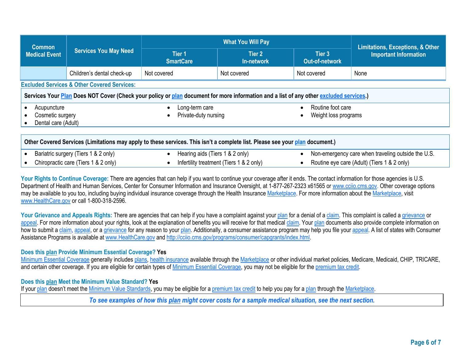| <b>Common</b><br><b>Medical Event</b>                                                                                                  | <b>Services You May Need</b>                           |                                        | <b>Limitations, Exceptions, &amp; Other</b> |                                           |                                                                                                   |  |  |
|----------------------------------------------------------------------------------------------------------------------------------------|--------------------------------------------------------|----------------------------------------|---------------------------------------------|-------------------------------------------|---------------------------------------------------------------------------------------------------|--|--|
|                                                                                                                                        |                                                        | Tier 1<br><b>SmartCare</b>             | Tier 2<br>In-network                        | Tier 3<br><b>Out-of-network</b>           | <b>Important Information</b>                                                                      |  |  |
|                                                                                                                                        | Children's dental check-up                             | Not covered                            | Not covered                                 | Not covered                               | None                                                                                              |  |  |
|                                                                                                                                        | <b>Excluded Services &amp; Other Covered Services:</b> |                                        |                                             |                                           |                                                                                                   |  |  |
| Services Your Plan Does NOT Cover (Check your policy or plan document for more information and a list of any other excluded services.) |                                                        |                                        |                                             |                                           |                                                                                                   |  |  |
| Acupuncture<br>Cosmetic surgery<br>Dental care (Adult)                                                                                 |                                                        | Long-term care<br>Private-duty nursing |                                             | Routine foot care<br>Weight loss programs |                                                                                                   |  |  |
| Other Covered Services (Limitations may apply to these services. This isn't a complete list. Please see your plan document.)           |                                                        |                                        |                                             |                                           |                                                                                                   |  |  |
| Bariatric surgery (Tiers 1 & 2 only)<br>Chiropractic care (Tiers 1 & 2 only)                                                           |                                                        | Hearing aids (Tiers 1 & 2 only)        | Infertility treatment (Tiers 1 & 2 only)    |                                           | Non-emergency care when traveling outside the U.S.<br>Routine eye care (Adult) (Tiers 1 & 2 only) |  |  |

Your Rights to Continue Coverage: There are agencies that can help if you want to continue your coverage after it ends. The contact information for those agencies is U.S. Department of Health and Human Services, Center for Consumer Information and Insurance Oversight, at 1-877-267-2323 x61565 or [www.cciio.cms.gov.](http://www.cciio.cms.gov/) Other coverage options may be available to you too, including buying individual insurance coverage through the Health Insurance Marketplace. For more information about the Marketplace, visit [www.HealthCare.gov](http://www.healthcare.gov/) or call 1-800-318-2596.

**Your Grievance and Appeals Rights:** There are agencies that can help if you have a complaint against your <u>plan</u> for a denial of a claim. This complaint is called a grievance or appeal. For more information about your rights, look at the explanation of benefits you will receive for that medical claim. Your plan documents also provide complete information on how to submit a claim, appeal, or a grievance for any reason to your plan. Additionally, a consumer assistance program may help you file your appeal. A list of states with Consumer Assistance Programs is available at [www.HealthCare.gov](http://www.healthcare.gov/) an[d http://cciio.cms.gov/programs/consumer/capgrants/index.html.](http://cciio.cms.gov/programs/consumer/capgrants/index.html)

## **Does this plan Provide Minimum Essential Coverage? Yes**

Minimum Essential Coverage generally includes plans, health insurance available through the Marketplace or other individual market policies, Medicare, Medicaid, CHIP, TRICARE, and certain other coverage. If you are eligible for certain types of Minimum Essential Coverage, you may not be eligible for the premium tax credit.

## **Does this plan Meet the Minimum Value Standard? Yes**

If your plan doesn't meet the Minimum Value Standards, you may be eligible for a premium tax credit to help you pay for a plan through the Marketplace.

*To see examples of how this plan might cover costs for a sample medical situation, see the next section.*